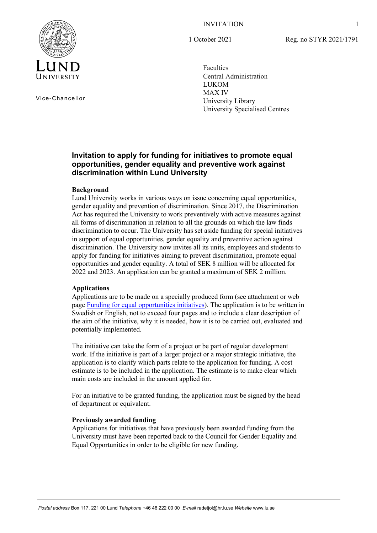### INVITATION



Vice-Chancellor

1 October 2021

Reg. no STYR 2021/1791

Faculties Central Administration LUKOM MAX IV University Library University Specialised Centres

# **Invitation to apply for funding for initiatives to promote equal opportunities, gender equality and preventive work against discrimination within Lund University**

## **Background**

Lund University works in various ways on issue concerning equal opportunities, gender equality and prevention of discrimination. Since 2017, the Discrimination Act has required the University to work preventively with active measures against all forms of discrimination in relation to all the grounds on which the law finds discrimination to occur. The University has set aside funding for special initiatives in support of equal opportunities, gender equality and preventive action against discrimination. The University now invites all its units, employees and students to apply for funding for initiatives aiming to prevent discrimination, promote equal opportunities and gender equality. A total of SEK 8 million will be allocated for 2022 and 2023. An application can be granted a maximum of SEK 2 million.

### **Applications**

Applications are to be made on a specially produced form (see attachment or web page [Funding for equal opportunities initiatives\)](https://www.staff.lu.se/organisation-and-governance/vision-objectives-and-strategies/gender-equality-and-equal-opportunities/funding-equal-opportunities-initiatives). The application is to be written in Swedish or English, not to exceed four pages and to include a clear description of the aim of the initiative, why it is needed, how it is to be carried out, evaluated and potentially implemented.

The initiative can take the form of a project or be part of regular development work. If the initiative is part of a larger project or a major strategic initiative, the application is to clarify which parts relate to the application for funding. A cost estimate is to be included in the application. The estimate is to make clear which main costs are included in the amount applied for.

For an initiative to be granted funding, the application must be signed by the head of department or equivalent.

### **Previously awarded funding**

Applications for initiatives that have previously been awarded funding from the University must have been reported back to the Council for Gender Equality and Equal Opportunities in order to be eligible for new funding.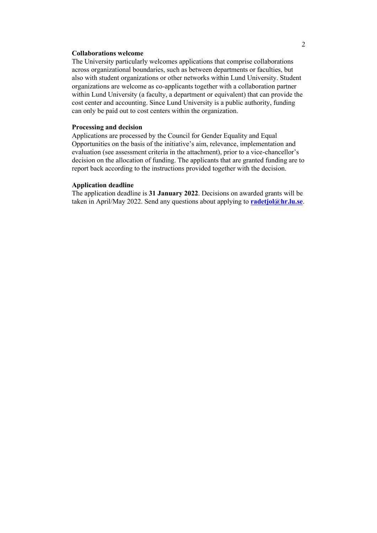#### **Collaborations welcome**

The University particularly welcomes applications that comprise collaborations across organizational boundaries, such as between departments or faculties, but also with student organizations or other networks within Lund University. Student organizations are welcome as co-applicants together with a collaboration partner within Lund University (a faculty, a department or equivalent) that can provide the cost center and accounting. Since Lund University is a public authority, funding can only be paid out to cost centers within the organization.

#### **Processing and decision**

Applications are processed by the Council for Gender Equality and Equal Opportunities on the basis of the initiative's aim, relevance, implementation and evaluation (see assessment criteria in the attachment), prior to a vice-chancellor's decision on the allocation of funding. The applicants that are granted funding are to report back according to the instructions provided together with the decision.

#### **Application deadline**

The application deadline is **31 January 2022**. Decisions on awarded grants will be taken in April/May 2022. Send any questions about applying to **[radetjol@hr.lu.se](mailto:radetjol@hr.lu.se)**.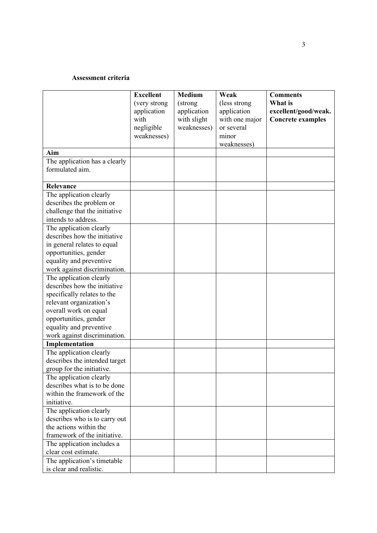#### **Assessment criteria**

|                               | <b>Excellent</b> | <b>Medium</b> | Weak           | <b>Comments</b>          |
|-------------------------------|------------------|---------------|----------------|--------------------------|
|                               | (very strong     | (strong)      | (less strong)  | What is                  |
|                               | application      | application   | application    | excellent/good/weak.     |
|                               | with             | with slight   | with one major | <b>Concrete examples</b> |
|                               | negligible       | weaknesses)   | or several     |                          |
|                               | weaknesses)      |               | minor          |                          |
|                               |                  |               | weaknesses)    |                          |
| Aim                           |                  |               |                |                          |
| The application has a clearly |                  |               |                |                          |
| formulated aim.               |                  |               |                |                          |
|                               |                  |               |                |                          |
| Relevance                     |                  |               |                |                          |
| The application clearly       |                  |               |                |                          |
| describes the problem or      |                  |               |                |                          |
| challenge that the initiative |                  |               |                |                          |
| intends to address.           |                  |               |                |                          |
| The application clearly       |                  |               |                |                          |
| describes how the initiative  |                  |               |                |                          |
| in general relates to equal   |                  |               |                |                          |
| opportunities, gender         |                  |               |                |                          |
| equality and preventive       |                  |               |                |                          |
| work against discrimination.  |                  |               |                |                          |
| The application clearly       |                  |               |                |                          |
| describes how the initiative  |                  |               |                |                          |
| specifically relates to the   |                  |               |                |                          |
| relevant organization's       |                  |               |                |                          |
| overall work on equal         |                  |               |                |                          |
| opportunities, gender         |                  |               |                |                          |
| equality and preventive       |                  |               |                |                          |
| work against discrimination.  |                  |               |                |                          |
| Implementation                |                  |               |                |                          |
| The application clearly       |                  |               |                |                          |
| describes the intended target |                  |               |                |                          |
| group for the initiative.     |                  |               |                |                          |
| The application clearly       |                  |               |                |                          |
| describes what is to be done  |                  |               |                |                          |
| within the framework of the   |                  |               |                |                          |
| initiative.                   |                  |               |                |                          |
| The application clearly       |                  |               |                |                          |
| describes who is to carry out |                  |               |                |                          |
| the actions within the        |                  |               |                |                          |
| framework of the initiative.  |                  |               |                |                          |
| The application includes a    |                  |               |                |                          |
| clear cost estimate.          |                  |               |                |                          |
| The application's timetable   |                  |               |                |                          |
| is clear and realistic.       |                  |               |                |                          |